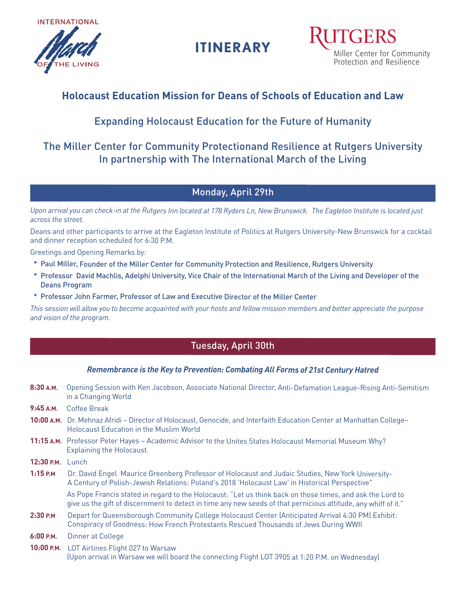

**ITINERARY**

Miller Center for Community Protection and Resilience

# **Holocaust Education Mission for Deans of Schools of Education and Law**

# Expanding Holocaust Education for the Future of Humanity

# The Miller Center for Community Protectionand Resilience at Rutgers University In partnership with The International March of the Living

## Monday, April 29th

Upon arrival you can check-in at the Rutgers Inn located at 178 Ryders Ln, New Brunswick. The Eagleton Institute is located just *across the street.*

Deans and other participants to arrive at the Eagleton Institute of Politics at Rutgers University-New Brunswick for <sup>a</sup> cocktail and dinner reception scheduled for 6:30 P.M.

Greetings and Opening Remarks by:

- \* Paul Miller, Founder of the Miller Center for Community Protection and Resilience, Rutgers University
- \* Professor David Machlis, Adelphi University, Vice Chair of the International March of the Living and Developer of the Deans Program
- \* Professor John Farmer, Professor of Law and Executive Director of the Miller Center

This session will allow you to become acquainted with your hosts and fellow mission members and better appreciate the purpose *and vision of the program.*

## Tuesday, April 30th

### *Remembrance is the Key to Prevention: Combating All Forms of 21st Century Hatred*

- **8:30 A.M.** Opening Session with Ken Jacobson, Associate National Director, Anti-Defamation League-Rising Anti-Semitism in <sup>a</sup> Changing World
- **9:45 A.M.** Coffee Break
- **10:00 A.M.** Dr. Mehnaz Afridi Director of Holocaust, Genocide, and Interfaith Education Center at Manhattan College– Holocaust Education in the Muslim World
- **11:15 A.M.** Professor Peter Hayes Academic Advisor to the Unites States Holocaust Memorial Museum Why? Explaining the Holocaust.
- **12:30 P.M.** Lunch
- **1:15 P.M** Dr. David Engel Maurice Greenberg Professor of Holocaust and Judaic Studies, New York University-A Century of Polish-Jewish Relations: Poland's 2018 'Holocaust Law' in Historical Perspective"

As Pope Francis stated in regard to the Holocaust: "Let us think back on those times, and ask the Lord to give us the gift of discernment to detect in time any new seeds of that pernicious attitude, any whiff of it."

- **2:30 P.M** Depart for Queensborough Community College Holocaust Center (Anticipated Arrival 4:30 PM) Exhibit: Conspiracy of Goodness: How French Protestants Rescued Thousands of Jews During WWII
- **6:00 P.M.** Dinner at College
- **10:00 P.M.** LOT Airlines Flight 027 to Warsaw (Upon arrival in Warsaw we will board the connecting Flight LOT <sup>3905</sup> at 1:20 P.M. on Wednesday)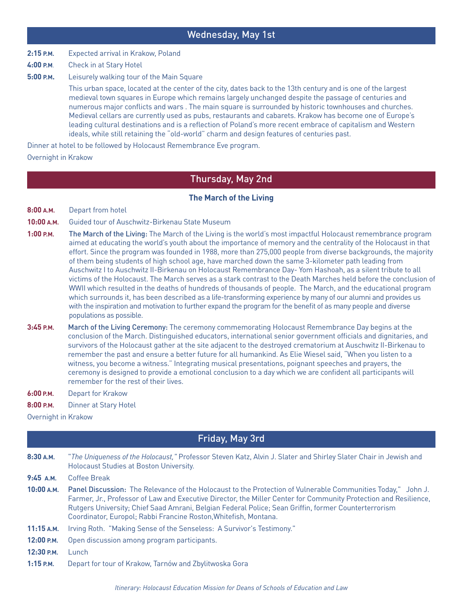### Wednesday, May 1st

**2:15 P.M.** Expected arrival in Krakow, Poland

**4:00 P.M**. Check in at Stary Hotel

**5:00 P.M.** Leisurely walking tour of the Main Square

 This urban space, located at the center of the city, dates back to the 13th century and is one of the largest medieval town squares in Europe which remains largely unchanged despite the passage of centuries and numerous major conflicts and wars . The main square is surrounded by historic townhouses and churches. Medieval cellars are currently used as pubs, restaurants and cabarets. Krakow has become one of Europe's leading cultural destinations and is a reflection of Poland's more recent embrace of capitalism and Western ideals, while still retaining the "old-world" charm and design features of centuries past.

Dinner at hotel to be followed by Holocaust Remembrance Eve program.

### Overnight in Krakow

### Thursday, May 2nd

### **The March of the Living**

- **8:00 A.M.** Depart from hotel
- **10:00 A.M.** Guided tour of Auschwitz-Birkenau State Museum
- **1:00 P.M.** The March of the Living: The March of the Living is the world's most impactful Holocaust remembrance program aimed at educating the world's youth about the importance of memory and the centrality of the Holocaust in that effort. Since the program was founded in 1988, more than 275,000 people from diverse backgrounds, the majority of them being students of high school age, have marched down the same 3-kilometer path leading from Auschwitz I to Auschwitz II-Birkenau on Holocaust Remembrance Day- Yom Hashoah, as a silent tribute to all victims of the Holocaust. The March serves as a stark contrast to the Death Marches held before the conclusion of WWII which resulted in the deaths of hundreds of thousands of people. The March, and the educational program which surrounds it, has been described as a life-transforming experience by many of our alumni and provides us with the inspiration and motivation to further expand the program for the benefit of as many people and diverse populations as possible.
- **3:45 P.M.** March of the Living Ceremony: The ceremony commemorating Holocaust Remembrance Day begins at the conclusion of the March. Distinguished educators, international senior government officials and dignitaries, and survivors of the Holocaust gather at the site adjacent to the destroyed crematorium at Auschwitz II-Birkenau to remember the past and ensure a better future for all humankind. As Elie Wiesel said, "When you listen to a witness, you become a witness." Integrating musical presentations, poignant speeches and prayers, the ceremony is designed to provide a emotional conclusion to a day which we are confident all participants will remember for the rest of their lives.
- **6:00 P.M.** Depart for Krakow
- **8:00 P.M.** Dinner at Stary Hotel

Overnight in Krakow

### Friday, May 3rd

- **8:30 A.M.** "*The Uniqueness of the Holocaust,"* Professor Steven Katz, Alvin J. Slater and Shirley Slater Chair in Jewish and Holocaust Studies at Boston University.
- **9:45 A.M.** Coffee Break
- **10:00 A.M.** Panel Discussion: The Relevance of the Holocaust to the Protection of Vulnerable Communities Today," John J. Farmer, Jr., Professor of Law and Executive Director, the Miller Center for Community Protection and Resilience, Rutgers University; Chief Saad Amrani, Belgian Federal Police; Sean Griffin, former Counterterrorism Coordinator, Europol; Rabbi Francine Roston,Whitefish, Montana.
- **11:15 A.M.** Irving Roth. "Making Sense of the Senseless: A Survivor's Testimony."
- **12:00 P.M.** Open discussion among program participants.

**12:30 P.M.** Lunch

**1:15 P.M.** Depart for tour of Krakow, Tarnów and Zbylitwoska Gora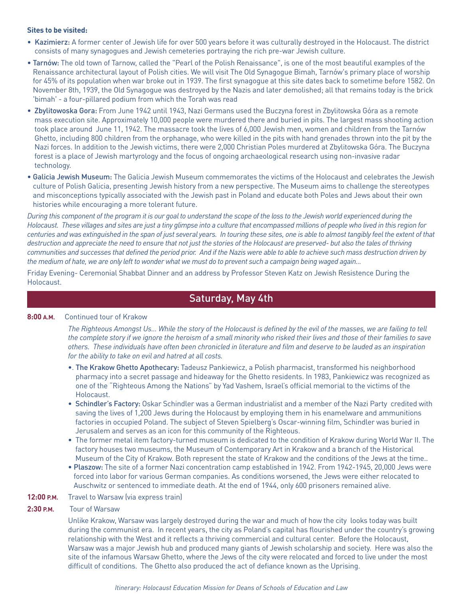#### **Sites to be visited:**

- Kazimierz: A former center of Jewish life for over 500 years before it was culturally destroyed in the Holocaust. The district consists of many synagogues and Jewish cemeteries portraying the rich pre-war Jewish culture.
- Tarnów: The old town of Tarnow, called the "Pearl of the Polish Renaissance", is one of the most beautiful examples of the Renaissance architectural layout of Polish cities. We will visit The Old Synagogue Bimah, Tarnów's primary place of worship for 45% of its population when war broke out in 1939. The first synagogue at this site dates back to sometime before 1582. On November 8th, 1939, the Old Synagogue was destroyed by the Nazis and later demolished; all that remains today is the brick 'bimah' - a four-pillared podium from which the Torah was read
- Zbylitowoska Gora: From June 1942 until 1943, Nazi Germans used the Buczyna forest in Zbylitowska Góra as a remote mass execution site. Approximately 10,000 people were murdered there and buried in pits. The largest mass shooting action took place around June 11, 1942. The massacre took the lives of 6,000 Jewish men, women and children from the Tarnów Ghetto, including 800 children from the orphanage, who were killed in the pits with hand grenades thrown into the pit by the Nazi forces. In addition to the Jewish victims, there were 2,000 Christian Poles murdered at Zbylitowska Góra. The Buczyna forest is a place of Jewish martyrology and the focus of ongoing archaeological research using non-invasive radar technology.
- Galicia Jewish Museum: The Galicia Jewish Museum commemorates the victims of the Holocaust and celebrates the Jewish culture of Polish Galicia, presenting Jewish history from a new perspective. The Museum aims to challenge the stereotypes and misconceptions typically associated with the Jewish past in Poland and educate both Poles and Jews about their own histories while encouraging a more tolerant future.

During this component of the program it is our goal to understand the scope of the loss to the Jewish world experienced during the Holocaust. These villages and sites are just a tiny glimpse into a culture that encompassed millions of people who lived in this region for centuries and was extinguished in the span of just several years. In touring these sites, one is able to almost tangibly feel the extent of that destruction and appreciate the need to ensure that not just the stories of the Holocaust are preserved- but also the tales of thriving communities and successes that defined the period prior. And if the Nazis were able to able to achieve such mass destruction driven by the medium of hate, we are only left to wonder what we must do to prevent such a campaign being waged again...

Friday Evening- Ceremonial Shabbat Dinner and an address by Professor Steven Katz on Jewish Resistence During the Holocaust.

## Saturday, May 4th

### **8:00 A.M.** Continued tour of Krakow

The Righteous Amongst Us... While the story of the Holocaust is defined by the evil of the masses, we are failing to tell the complete story if we ignore the heroism of a small minority who risked their lives and those of their families to save others. These individuals have often been chronicled in literature and film and deserve to be lauded as an inspiration *for the ability to take on evil and hatred at all costs.*

- •. The Krakow Ghetto Apothecary: Tadeusz Pankiewicz, a Polish pharmacist, transformed his neighborhood pharmacy into a secret passage and hideaway for the Ghetto residents. In 1983, Pankiewicz was recognized as one of the "Righteous Among the Nations" by Yad Vashem, Israel's official memorial to the victims of the Holocaust.
- Schindler's Factory: Oskar Schindler was a German industrialist and a member of the Nazi Party credited with saving the lives of 1,200 Jews during the Holocaust by employing them in his enamelware and ammunitions factories in occupied Poland. The subject of Steven Spielberg's Oscar-winning film, Schindler was buried in Jerusalem and serves as an icon for this community of the Righteous.
- The former metal item factory-turned museum is dedicated to the condition of Krakow during World War II. The factory houses two museums, the Museum of Contemporary Art in Krakow and a branch of the Historical Museum of the City of Krakow. Both represent the state of Krakow and the conditions of the Jews at the time..
- Plaszow: The site of a former Nazi concentration camp established in 1942. From 1942-1945, 20,000 Jews were forced into labor for various German companies. As conditions worsened, the Jews were either relocated to Auschwitz or sentenced to immediate death. At the end of 1944, only 600 prisoners remained alive.

#### **12:00 P.M.** Travel to Warsaw (via express train)

#### **2:30 P.M.** Tour of Warsaw

Unlike Krakow, Warsaw was largely destroyed during the war and much of how the city looks today was built during the communist era. In recent years, the city as Poland's capital has flourished under the country's growing relationship with the West and it reflects a thriving commercial and cultural center. Before the Holocaust, Warsaw was a major Jewish hub and produced many giants of Jewish scholarship and society. Here was also the site of the infamous Warsaw Ghetto, where the Jews of the city were relocated and forced to live under the most difficult of conditions. The Ghetto also produced the act of defiance known as the Uprising.